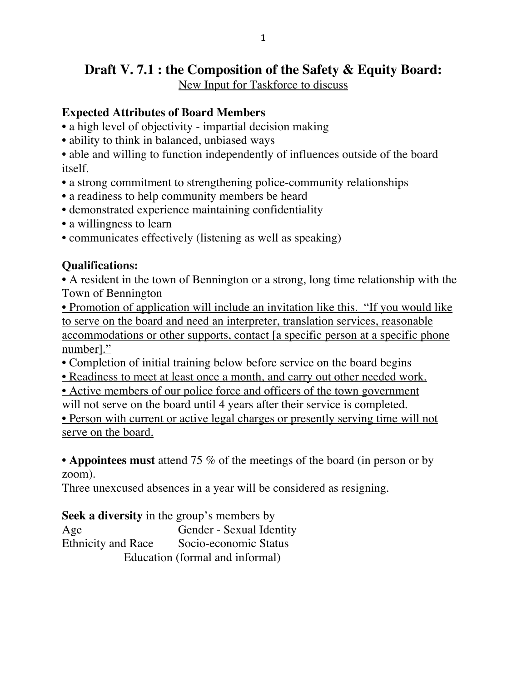# **Draft V. 7.1 : the Composition of the Safety & Equity Board:**

New Input for Taskforce to discuss

### **Expected Attributes of Board Members**

- a high level of objectivity impartial decision making
- ability to think in balanced, unbiased ways

• able and willing to function independently of influences outside of the board itself.

- a strong commitment to strengthening police-community relationships
- a readiness to help community members be heard
- demonstrated experience maintaining confidentiality
- a willingness to learn
- communicates effectively (listening as well as speaking)

## **Qualifications:**

**•** A resident in the town of Bennington or a strong, long time relationship with the Town of Bennington

• Promotion of application will include an invitation like this. "If you would like to serve on the board and need an interpreter, translation services, reasonable accommodations or other supports, contact [a specific person at a specific phone number]."

- Completion of initial training below before service on the board begins
- Readiness to meet at least once a month, and carry out other needed work.
- Active members of our police force and officers of the town government

will not serve on the board until 4 years after their service is completed.

• Person with current or active legal charges or presently serving time will not serve on the board.

**• Appointees must** attend 75 % of the meetings of the board (in person or by zoom).

Three unexcused absences in a year will be considered as resigning.

**Seek a diversity** in the group's members by

Age Gender - Sexual Identity Ethnicity and Race Socio-economic Status Education (formal and informal)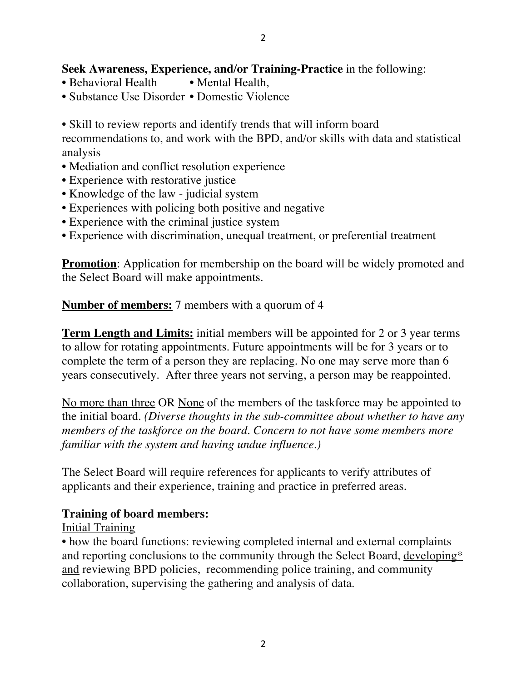#### **Seek Awareness, Experience, and/or Training-Practice** in the following:

- Behavioral Health Mental Health,
- Substance Use Disorder Domestic Violence

• Skill to review reports and identify trends that will inform board

recommendations to, and work with the BPD, and/or skills with data and statistical analysis

- Mediation and conflict resolution experience
- Experience with restorative justice
- Knowledge of the law judicial system
- Experiences with policing both positive and negative
- Experience with the criminal justice system
- Experience with discrimination, unequal treatment, or preferential treatment

**Promotion**: Application for membership on the board will be widely promoted and the Select Board will make appointments.

**Number of members:** 7 members with a quorum of 4

**Term Length and Limits:** initial members will be appointed for 2 or 3 year terms to allow for rotating appointments. Future appointments will be for 3 years or to complete the term of a person they are replacing. No one may serve more than 6 years consecutively. After three years not serving, a person may be reappointed.

No more than three OR None of the members of the taskforce may be appointed to the initial board. *(Diverse thoughts in the sub-committee about whether to have any members of the taskforce on the board. Concern to not have some members more familiar with the system and having undue influence.)*

The Select Board will require references for applicants to verify attributes of applicants and their experience, training and practice in preferred areas.

#### **Training of board members:**

Initial Training

• how the board functions: reviewing completed internal and external complaints and reporting conclusions to the community through the Select Board, developing\* and reviewing BPD policies, recommending police training, and community collaboration, supervising the gathering and analysis of data.